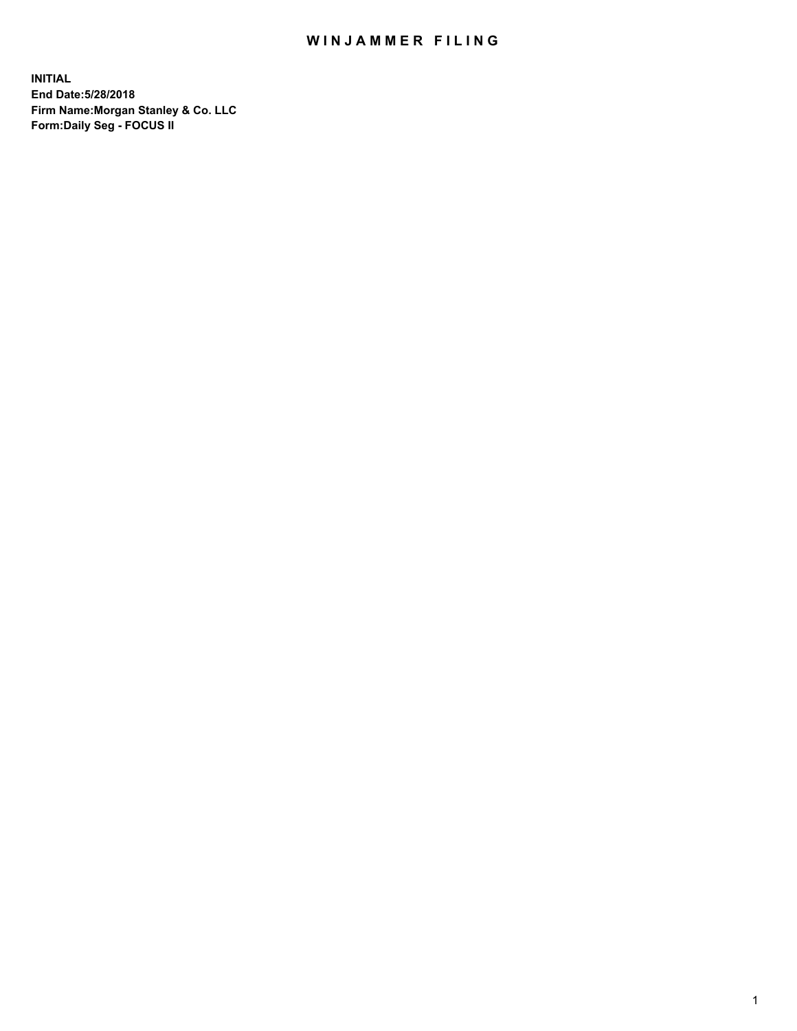## WIN JAMMER FILING

**INITIAL End Date:5/28/2018 Firm Name:Morgan Stanley & Co. LLC Form:Daily Seg - FOCUS II**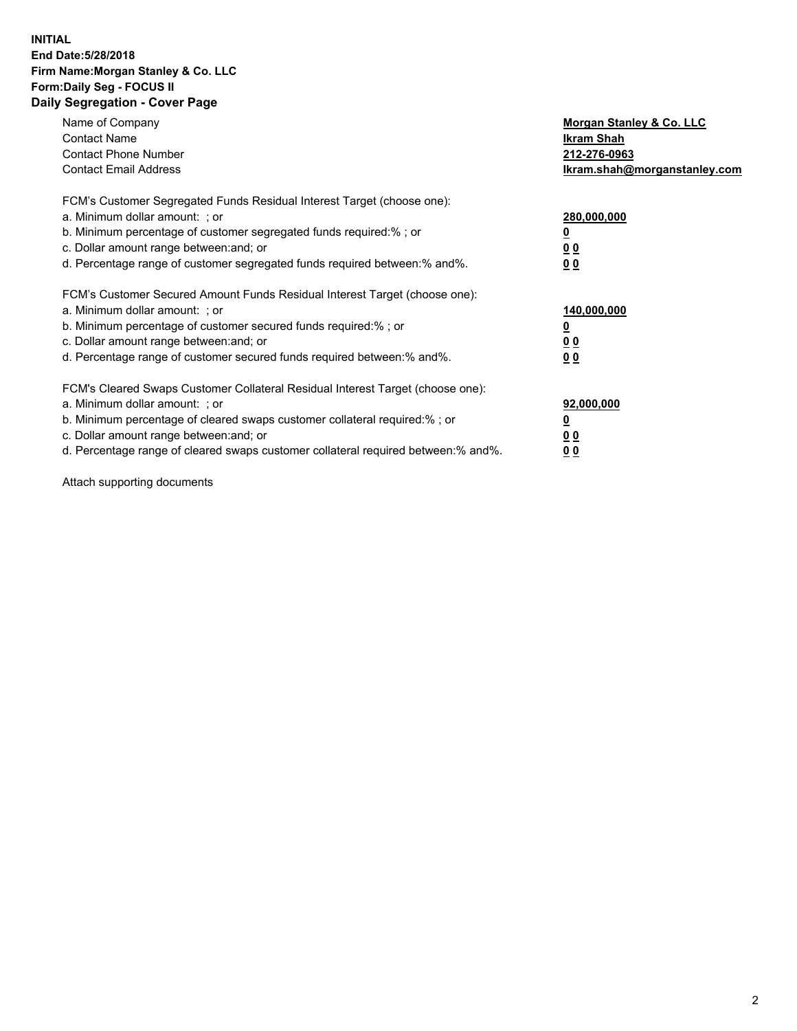#### **INITIAL End Date:5/28/2018 Firm Name:Morgan Stanley & Co. LLC Form:Daily Seg - FOCUS II Daily Segregation - Cover Page**

| Name of Company<br>Morgan Stanley & Co. LLC                                                   |  |
|-----------------------------------------------------------------------------------------------|--|
| <b>Contact Name</b><br>Ikram Shah                                                             |  |
| <b>Contact Phone Number</b><br>212-276-0963                                                   |  |
| <b>Contact Email Address</b><br>lkram.shah@morganstanley.com                                  |  |
| FCM's Customer Segregated Funds Residual Interest Target (choose one):                        |  |
| a. Minimum dollar amount: ; or<br>280,000,000                                                 |  |
| b. Minimum percentage of customer segregated funds required:%; or                             |  |
| c. Dollar amount range between: and; or<br>00                                                 |  |
| d. Percentage range of customer segregated funds required between: % and %.<br>0 <sub>0</sub> |  |
| FCM's Customer Secured Amount Funds Residual Interest Target (choose one):                    |  |
| a. Minimum dollar amount: ; or<br>140,000,000                                                 |  |
| b. Minimum percentage of customer secured funds required:%; or                                |  |
| c. Dollar amount range between: and; or<br>00                                                 |  |
| d. Percentage range of customer secured funds required between: % and %.<br>0 <sub>0</sub>    |  |
| FCM's Cleared Swaps Customer Collateral Residual Interest Target (choose one):                |  |
| a. Minimum dollar amount: ; or<br>92,000,000                                                  |  |
| b. Minimum percentage of cleared swaps customer collateral required:% ; or<br><u>0</u>        |  |
| c. Dollar amount range between: and; or<br><u>00</u>                                          |  |
| d. Percentage range of cleared swaps customer collateral required between:% and%.<br>00       |  |

Attach supporting documents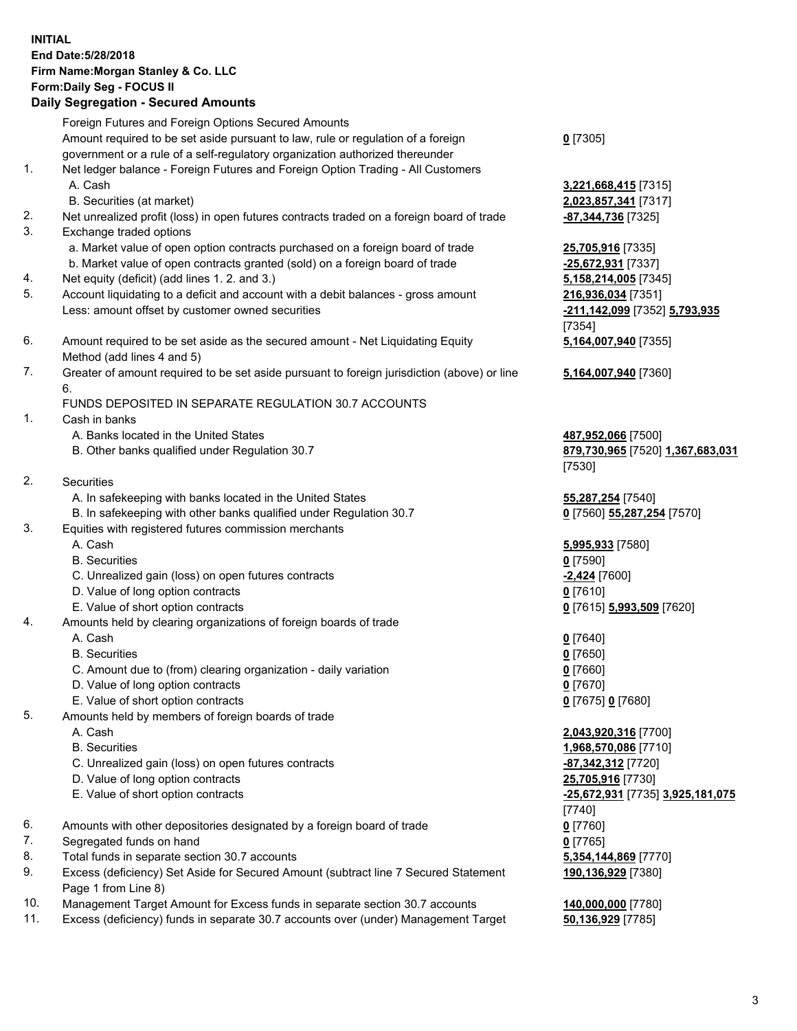## **INITIAL End Date:5/28/2018 Firm Name:Morgan Stanley & Co. LLC Form:Daily Seg - FOCUS II**

## **Daily Segregation - Secured Amounts**

|          | Dany Ocgregation - Ocearea Anioanto                                                                |                                                       |
|----------|----------------------------------------------------------------------------------------------------|-------------------------------------------------------|
|          | Foreign Futures and Foreign Options Secured Amounts                                                |                                                       |
|          | Amount required to be set aside pursuant to law, rule or regulation of a foreign                   | $0$ [7305]                                            |
|          | government or a rule of a self-regulatory organization authorized thereunder                       |                                                       |
| 1.       | Net ledger balance - Foreign Futures and Foreign Option Trading - All Customers                    |                                                       |
|          | A. Cash                                                                                            | 3,221,668,415 [7315]                                  |
|          | B. Securities (at market)                                                                          | 2,023,857,341 [7317]                                  |
| 2.       | Net unrealized profit (loss) in open futures contracts traded on a foreign board of trade          | -87,344,736 [7325]                                    |
| 3.       | Exchange traded options                                                                            |                                                       |
|          | a. Market value of open option contracts purchased on a foreign board of trade                     | 25,705,916 [7335]                                     |
|          | b. Market value of open contracts granted (sold) on a foreign board of trade                       | -25,672,931 [7337]                                    |
| 4.<br>5. | Net equity (deficit) (add lines 1.2. and 3.)                                                       | 5,158,214,005 [7345]                                  |
|          | Account liquidating to a deficit and account with a debit balances - gross amount                  | 216,936,034 [7351]                                    |
|          | Less: amount offset by customer owned securities                                                   | <u>-211,142,099</u> [7352] <u>5,793,935</u><br>[7354] |
| 6.       | Amount required to be set aside as the secured amount - Net Liquidating Equity                     |                                                       |
|          | Method (add lines 4 and 5)                                                                         | 5,164,007,940 [7355]                                  |
| 7.       | Greater of amount required to be set aside pursuant to foreign jurisdiction (above) or line        | 5,164,007,940 [7360]                                  |
|          | 6.                                                                                                 |                                                       |
|          | FUNDS DEPOSITED IN SEPARATE REGULATION 30.7 ACCOUNTS                                               |                                                       |
| 1.       | Cash in banks                                                                                      |                                                       |
|          | A. Banks located in the United States                                                              | 487,952,066 [7500]                                    |
|          | B. Other banks qualified under Regulation 30.7                                                     | 879,730,965 [7520] 1,367,683,031                      |
|          |                                                                                                    | [7530]                                                |
| 2.       | Securities                                                                                         |                                                       |
|          | A. In safekeeping with banks located in the United States                                          | 55,287,254 [7540]                                     |
|          | B. In safekeeping with other banks qualified under Regulation 30.7                                 | 0 [7560] 55,287,254 [7570]                            |
| 3.       | Equities with registered futures commission merchants                                              |                                                       |
|          | A. Cash                                                                                            | 5,995,933 [7580]                                      |
|          | <b>B.</b> Securities                                                                               | $0$ [7590]                                            |
|          | C. Unrealized gain (loss) on open futures contracts                                                | -2,424 [7600]                                         |
|          | D. Value of long option contracts                                                                  | $0$ [7610]                                            |
|          | E. Value of short option contracts                                                                 | 0 [7615] 5,993,509 [7620]                             |
| 4.       | Amounts held by clearing organizations of foreign boards of trade                                  |                                                       |
|          | A. Cash                                                                                            | $0$ [7640]                                            |
|          | <b>B.</b> Securities                                                                               | $0$ [7650]                                            |
|          | C. Amount due to (from) clearing organization - daily variation                                    | $0$ [7660]                                            |
|          | D. Value of long option contracts                                                                  | $0$ [7670]                                            |
|          | E. Value of short option contracts                                                                 | 0 [7675] 0 [7680]                                     |
| 5.       | Amounts held by members of foreign boards of trade                                                 |                                                       |
|          | A. Cash                                                                                            | 2,043,920,316 [7700]                                  |
|          | <b>B.</b> Securities                                                                               | 1,968,570,086 [7710]                                  |
|          | C. Unrealized gain (loss) on open futures contracts                                                | -87,342,312 [7720]                                    |
|          | D. Value of long option contracts                                                                  | 25,705,916 [7730]                                     |
|          | E. Value of short option contracts                                                                 | <u>-25,672,931</u> [7735] 3,925,181,075               |
|          |                                                                                                    | [7740]                                                |
| 6.<br>7. | Amounts with other depositories designated by a foreign board of trade<br>Segregated funds on hand | $0$ [7760]                                            |
| 8.       | Total funds in separate section 30.7 accounts                                                      | $0$ [7765]<br>5,354,144,869 [7770]                    |
| 9.       | Excess (deficiency) Set Aside for Secured Amount (subtract line 7 Secured Statement                | 190,136,929 [7380]                                    |
|          | Page 1 from Line 8)                                                                                |                                                       |
| 10.      | Management Target Amount for Excess funds in separate section 30.7 accounts                        | 140,000,000 [7780]                                    |
| 11.      | Excess (deficiency) funds in separate 30.7 accounts over (under) Management Target                 | 50,136,929 [7785]                                     |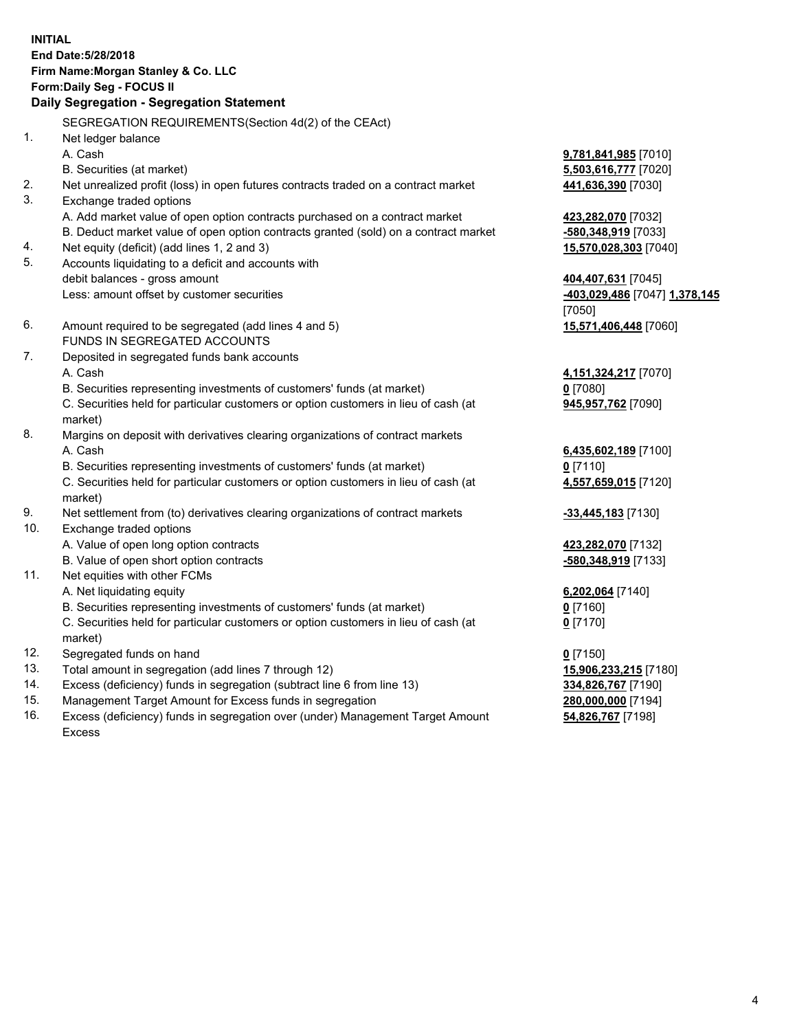## **INITIAL End Date:5/28/2018 Firm Name:Morgan Stanley & Co. LLC Form:Daily Seg - FOCUS II**

# **Daily Segregation - Segregation Statement**

SEGREGATION REQUIREMENTS(Section 4d(2) of the CEAct) 1. Net ledger balance A. Cash **9,781,841,985** [7010] B. Securities (at market) **5,503,616,777** [7020] 2. Net unrealized profit (loss) in open futures contracts traded on a contract market **441,636,390** [7030] 3. Exchange traded options A. Add market value of open option contracts purchased on a contract market **423,282,070** [7032] B. Deduct market value of open option contracts granted (sold) on a contract market **-580,348,919** [7033] 4. Net equity (deficit) (add lines 1, 2 and 3) **15,570,028,303** [7040] 5. Accounts liquidating to a deficit and accounts with debit balances - gross amount **404,407,631** [7045] Less: amount offset by customer securities **-403,029,486** [7047] **1,378,145** [7050] 6. Amount required to be segregated (add lines 4 and 5) **15,571,406,448** [7060] FUNDS IN SEGREGATED ACCOUNTS 7. Deposited in segregated funds bank accounts A. Cash **4,151,324,217** [7070] B. Securities representing investments of customers' funds (at market) **0** [7080] C. Securities held for particular customers or option customers in lieu of cash (at market) 8. Margins on deposit with derivatives clearing organizations of contract markets A. Cash **6,435,602,189** [7100] B. Securities representing investments of customers' funds (at market) **0** [7110] C. Securities held for particular customers or option customers in lieu of cash (at market) 9. Net settlement from (to) derivatives clearing organizations of contract markets **-33,445,183** [7130] 10. Exchange traded options A. Value of open long option contracts **423,282,070** [7132] B. Value of open short option contracts **-580,348,919** [7133] 11. Net equities with other FCMs A. Net liquidating equity **6,202,064** [7140] B. Securities representing investments of customers' funds (at market) **0** [7160] C. Securities held for particular customers or option customers in lieu of cash (at market) **0** [7170] 12. Segregated funds on hand **0** [7150] 13. Total amount in segregation (add lines 7 through 12) **15,906,233,215** [7180] 14. Excess (deficiency) funds in segregation (subtract line 6 from line 13) **334,826,767** [7190] 15. Management Target Amount for Excess funds in segregation **280,000,000** [7194]

16. Excess (deficiency) funds in segregation over (under) Management Target Amount Excess

**945,957,762** [7090]

**4,557,659,015** [7120]

**54,826,767** [7198]